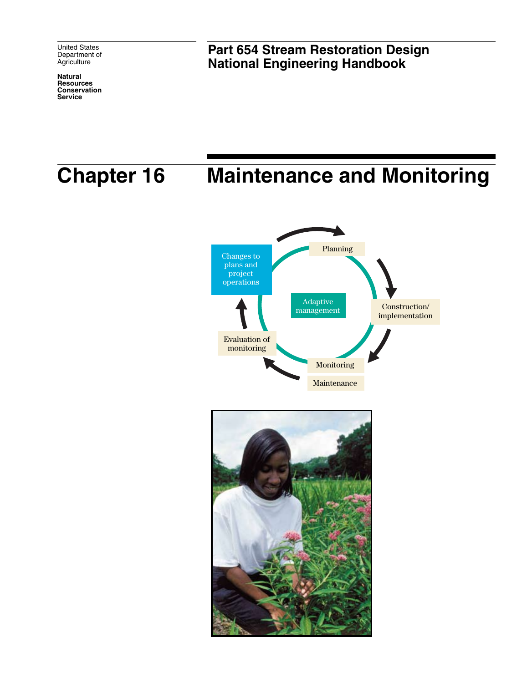United States Department of **Agriculture** 

**Natural Resources Conservation Service**

**Part 654 Stream Restoration Design National Engineering Handbook**

# **Chapter 16 Maintenance and Monitoring**



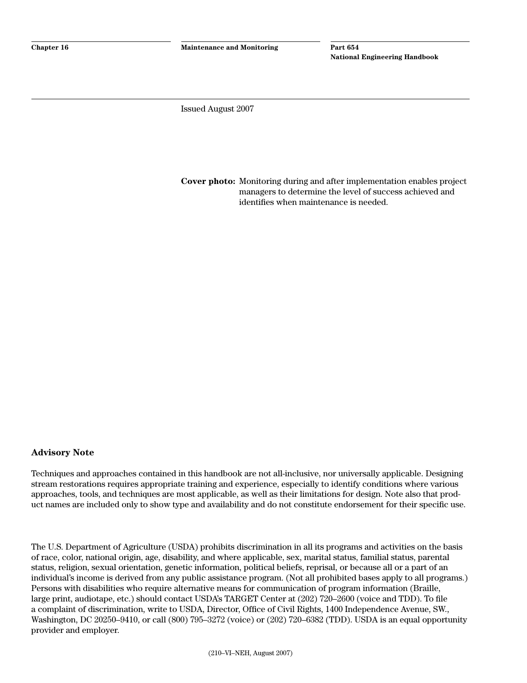Issued August 2007

**Cover photo:** Monitoring during and after implementation enables project managers to determine the level of success achieved and identifies when maintenance is needed.

#### **Advisory Note**

Techniques and approaches contained in this handbook are not all-inclusive, nor universally applicable. Designing stream restorations requires appropriate training and experience, especially to identify conditions where various approaches, tools, and techniques are most applicable, as well as their limitations for design. Note also that product names are included only to show type and availability and do not constitute endorsement for their specific use.

The U.S. Department of Agriculture (USDA) prohibits discrimination in all its programs and activities on the basis of race, color, national origin, age, disability, and where applicable, sex, marital status, familial status, parental status, religion, sexual orientation, genetic information, political beliefs, reprisal, or because all or a part of an individual's income is derived from any public assistance program. (Not all prohibited bases apply to all programs.) Persons with disabilities who require alternative means for communication of program information (Braille, large print, audiotape, etc.) should contact USDA's TARGET Center at (202) 720–2600 (voice and TDD). To file a complaint of discrimination, write to USDA, Director, Office of Civil Rights, 1400 Independence Avenue, SW., Washington, DC 20250–9410, or call (800) 795–3272 (voice) or (202) 720–6382 (TDD). USDA is an equal opportunity provider and employer.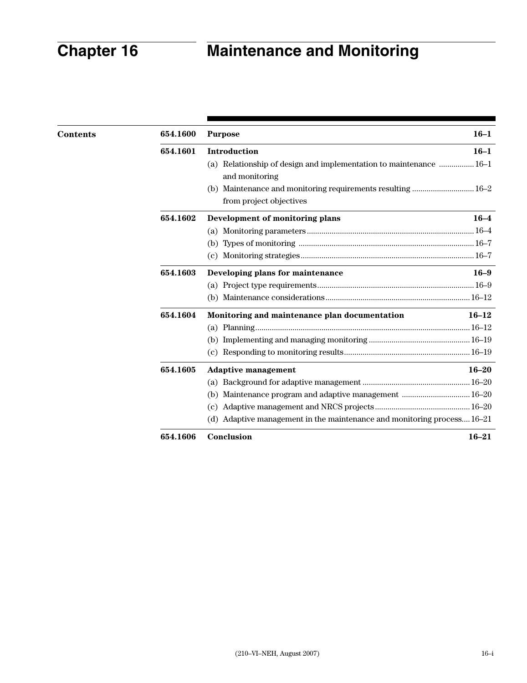| <b>Contents</b> | 654.1600 | <b>Purpose</b>                                                                         | $16 - 1$  |
|-----------------|----------|----------------------------------------------------------------------------------------|-----------|
|                 | 654.1601 | <b>Introduction</b>                                                                    | $16 - 1$  |
|                 |          | (a) Relationship of design and implementation to maintenance  16-1<br>and monitoring   |           |
|                 |          | (b) Maintenance and monitoring requirements resulting  16–2<br>from project objectives |           |
|                 | 654.1602 | Development of monitoring plans                                                        | $16 - 4$  |
|                 |          | (a)                                                                                    |           |
|                 |          | (b)                                                                                    |           |
|                 |          | (c)                                                                                    |           |
|                 | 654.1603 | Developing plans for maintenance                                                       | $16 - 9$  |
|                 |          |                                                                                        |           |
|                 |          |                                                                                        |           |
|                 | 654.1604 | Monitoring and maintenance plan documentation                                          | $16 - 12$ |
|                 |          |                                                                                        |           |
|                 |          |                                                                                        |           |
|                 |          | (c)                                                                                    |           |
|                 | 654.1605 | <b>Adaptive management</b>                                                             | $16 - 20$ |
|                 |          | (a)                                                                                    |           |
|                 |          | (b)                                                                                    |           |
|                 |          | (c)                                                                                    |           |
|                 |          | Adaptive management in the maintenance and monitoring process16-21<br>(d)              |           |
|                 | 654.1606 | Conclusion                                                                             | $16 - 21$ |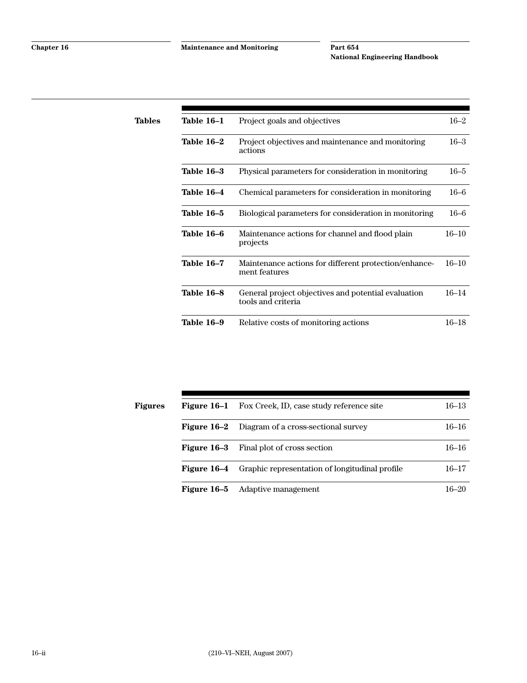| Tables | Table 16-1        | Project goals and objectives                                              | $16 - 2$  |
|--------|-------------------|---------------------------------------------------------------------------|-----------|
|        | Table 16-2        | Project objectives and maintenance and monitoring<br>actions              | $16 - 3$  |
|        | Table 16-3        | Physical parameters for consideration in monitoring                       | $16 - 5$  |
|        | Table 16-4        | Chemical parameters for consideration in monitoring                       | $16 - 6$  |
|        | Table 16–5        | Biological parameters for consideration in monitoring                     | $16 - 6$  |
|        | Table 16–6        | Maintenance actions for channel and flood plain<br>projects               | $16 - 10$ |
|        | <b>Table 16-7</b> | Maintenance actions for different protection/enhance-<br>ment features    | $16 - 10$ |
|        | Table 16-8        | General project objectives and potential evaluation<br>tools and criteria | $16 - 14$ |
|        | Table 16-9        | Relative costs of monitoring actions                                      | $16 - 18$ |

| Figures | Figure 16–1 | Fox Creek, ID, case study reference site       | $16 - 13$ |
|---------|-------------|------------------------------------------------|-----------|
|         | Figure 16–2 | Diagram of a cross-sectional survey            | $16 - 16$ |
|         | Figure 16–3 | Final plot of cross section                    | $16 - 16$ |
|         | Figure 16–4 | Graphic representation of longitudinal profile | $16 - 17$ |
|         | Figure 16–5 | Adaptive management                            | $16 - 20$ |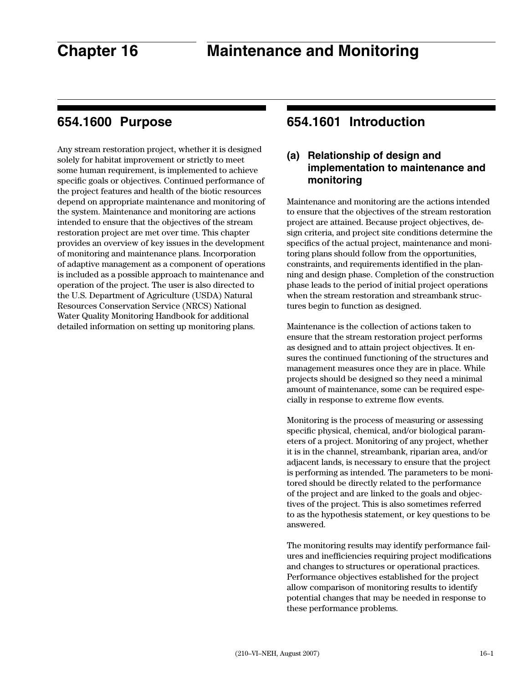# **654.1600 Purpose**

Any stream restoration project, whether it is designed solely for habitat improvement or strictly to meet some human requirement, is implemented to achieve specific goals or objectives. Continued performance of the project features and health of the biotic resources depend on appropriate maintenance and monitoring of the system. Maintenance and monitoring are actions intended to ensure that the objectives of the stream restoration project are met over time. This chapter provides an overview of key issues in the development of monitoring and maintenance plans. Incorporation of adaptive management as a component of operations is included as a possible approach to maintenance and operation of the project. The user is also directed to the U.S. Department of Agriculture (USDA) Natural Resources Conservation Service (NRCS) National Water Quality Monitoring Handbook for additional detailed information on setting up monitoring plans.

# **654.1601 Introduction**

# **(a) Relationship of design and implementation to maintenance and monitoring**

Maintenance and monitoring are the actions intended to ensure that the objectives of the stream restoration project are attained. Because project objectives, design criteria, and project site conditions determine the specifics of the actual project, maintenance and monitoring plans should follow from the opportunities, constraints, and requirements identified in the planning and design phase. Completion of the construction phase leads to the period of initial project operations when the stream restoration and streambank structures begin to function as designed.

Maintenance is the collection of actions taken to ensure that the stream restoration project performs as designed and to attain project objectives. It ensures the continued functioning of the structures and management measures once they are in place. While projects should be designed so they need a minimal amount of maintenance, some can be required especially in response to extreme flow events.

Monitoring is the process of measuring or assessing specific physical, chemical, and/or biological parameters of a project. Monitoring of any project, whether it is in the channel, streambank, riparian area, and/or adjacent lands, is necessary to ensure that the project is performing as intended. The parameters to be monitored should be directly related to the performance of the project and are linked to the goals and objectives of the project. This is also sometimes referred to as the hypothesis statement, or key questions to be answered.

The monitoring results may identify performance failures and inefficiencies requiring project modifications and changes to structures or operational practices. Performance objectives established for the project allow comparison of monitoring results to identify potential changes that may be needed in response to these performance problems.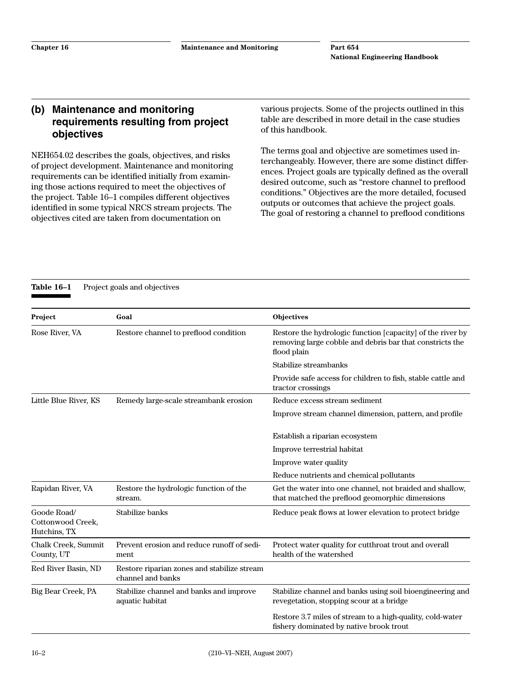### **(b) Maintenance and monitoring requirements resulting from project objectives**

NEH654.02 describes the goals, objectives, and risks of project development. Maintenance and monitoring requirements can be identified initially from examining those actions required to meet the objectives of the project. Table 16–1 compiles different objectives identified in some typical NRCS stream projects. The objectives cited are taken from documentation on

various projects. Some of the projects outlined in this table are described in more detail in the case studies of this handbook.

The terms goal and objective are sometimes used interchangeably. However, there are some distinct differences. Project goals are typically defined as the overall desired outcome, such as "restore channel to preflood conditions." Objectives are the more detailed, focused outputs or outcomes that achieve the project goals. The goal of restoring a channel to preflood conditions

Table 16-1 Project goals and objectives

| Project                                          | Goal                                                             | Objectives                                                                                                                            |
|--------------------------------------------------|------------------------------------------------------------------|---------------------------------------------------------------------------------------------------------------------------------------|
| Rose River, VA                                   | Restore channel to preflood condition                            | Restore the hydrologic function [capacity] of the river by<br>removing large cobble and debris bar that constricts the<br>flood plain |
|                                                  |                                                                  | Stabilize streambanks                                                                                                                 |
|                                                  |                                                                  | Provide safe access for children to fish, stable cattle and<br>tractor crossings                                                      |
| Little Blue River, KS                            | Remedy large-scale streambank erosion                            | Reduce excess stream sediment                                                                                                         |
|                                                  |                                                                  | Improve stream channel dimension, pattern, and profile                                                                                |
|                                                  |                                                                  | Establish a riparian ecosystem                                                                                                        |
|                                                  |                                                                  | Improve terrestrial habitat                                                                                                           |
|                                                  |                                                                  | Improve water quality                                                                                                                 |
|                                                  |                                                                  | Reduce nutrients and chemical pollutants                                                                                              |
| Rapidan River, VA                                | Restore the hydrologic function of the<br>stream.                | Get the water into one channel, not braided and shallow,<br>that matched the preflood geomorphic dimensions                           |
| Goode Road/<br>Cottonwood Creek,<br>Hutchins, TX | Stabilize banks                                                  | Reduce peak flows at lower elevation to protect bridge                                                                                |
| Chalk Creek, Summit<br>County, UT                | Prevent erosion and reduce runoff of sedi-<br>ment               | Protect water quality for cutthroat trout and overall<br>health of the watershed                                                      |
| Red River Basin, ND                              | Restore riparian zones and stabilize stream<br>channel and banks |                                                                                                                                       |
| Big Bear Creek, PA                               | Stabilize channel and banks and improve<br>aquatic habitat       | Stabilize channel and banks using soil bioengineering and<br>revegetation, stopping scour at a bridge                                 |
|                                                  |                                                                  | Restore 3.7 miles of stream to a high-quality, cold-water<br>fishery dominated by native brook trout                                  |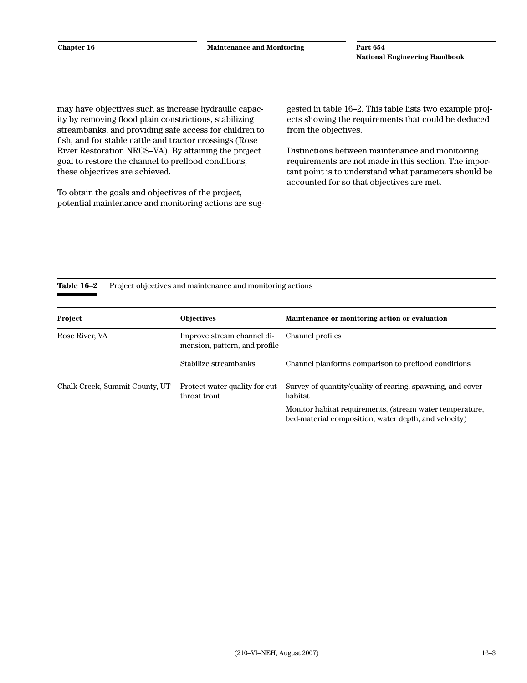may have objectives such as increase hydraulic capacity by removing flood plain constrictions, stabilizing streambanks, and providing safe access for children to fish, and for stable cattle and tractor crossings (Rose River Restoration NRCS–VA). By attaining the project goal to restore the channel to preflood conditions, these objectives are achieved.

To obtain the goals and objectives of the project, potential maintenance and monitoring actions are suggested in table 16–2. This table lists two example projects showing the requirements that could be deduced from the objectives.

Distinctions between maintenance and monitoring requirements are not made in this section. The important point is to understand what parameters should be accounted for so that objectives are met.

#### Table 16–2 Project objectives and maintenance and monitoring actions

| Project                        | <b>Objectives</b>                                           | Maintenance or monitoring action or evaluation                                                                   |
|--------------------------------|-------------------------------------------------------------|------------------------------------------------------------------------------------------------------------------|
| Rose River, VA                 | Improve stream channel di-<br>mension, pattern, and profile | Channel profiles                                                                                                 |
|                                | Stabilize streambanks                                       | Channel planforms comparison to preflood conditions                                                              |
| Chalk Creek, Summit County, UT | Protect water quality for cut-<br>throat trout              | Survey of quantity/quality of rearing, spawning, and cover<br>habitat                                            |
|                                |                                                             | Monitor habitat requirements, (stream water temperature,<br>bed-material composition, water depth, and velocity) |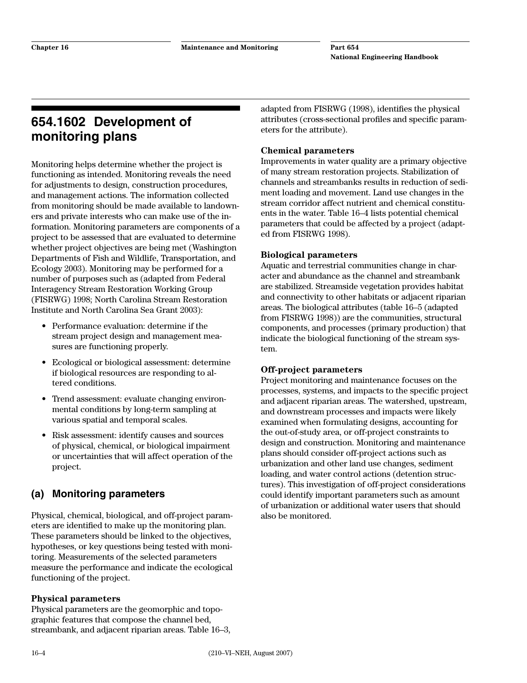# **654.1602 Development of monitoring plans**

Monitoring helps determine whether the project is functioning as intended. Monitoring reveals the need for adjustments to design, construction procedures, and management actions. The information collected from monitoring should be made available to landowners and private interests who can make use of the information. Monitoring parameters are components of a project to be assessed that are evaluated to determine whether project objectives are being met (Washington Departments of Fish and Wildlife, Transportation, and Ecology 2003). Monitoring may be performed for a number of purposes such as (adapted from Federal Interagency Stream Restoration Working Group (FISRWG) 1998; North Carolina Stream Restoration Institute and North Carolina Sea Grant 2003):

- Performance evaluation: determine if the stream project design and management measures are functioning properly.
- Ecological or biological assessment: determine if biological resources are responding to altered conditions.
- Trend assessment: evaluate changing environmental conditions by long-term sampling at various spatial and temporal scales.
- Risk assessment: identify causes and sources of physical, chemical, or biological impairment or uncertainties that will affect operation of the project.

# **(a) Monitoring parameters**

Physical, chemical, biological, and off-project parameters are identified to make up the monitoring plan. These parameters should be linked to the objectives, hypotheses, or key questions being tested with monitoring. Measurements of the selected parameters measure the performance and indicate the ecological functioning of the project.

#### **Physical parameters**

Physical parameters are the geomorphic and topographic features that compose the channel bed, streambank, and adjacent riparian areas. Table 16–3,

adapted from FISRWG (1998), identifies the physical attributes (cross-sectional profiles and specific parameters for the attribute).

#### **Chemical parameters**

Improvements in water quality are a primary objective of many stream restoration projects. Stabilization of channels and streambanks results in reduction of sediment loading and movement. Land use changes in the stream corridor affect nutrient and chemical constituents in the water. Table 16–4 lists potential chemical parameters that could be affected by a project (adapted from FISRWG 1998).

#### **Biological parameters**

Aquatic and terrestrial communities change in character and abundance as the channel and streambank are stabilized. Streamside vegetation provides habitat and connectivity to other habitats or adjacent riparian areas. The biological attributes (table 16–5 (adapted from FISRWG 1998)) are the communities, structural components, and processes (primary production) that indicate the biological functioning of the stream system.

#### **Off-project parameters**

Project monitoring and maintenance focuses on the processes, systems, and impacts to the specific project and adjacent riparian areas. The watershed, upstream, and downstream processes and impacts were likely examined when formulating designs, accounting for the out-of-study area, or off-project constraints to design and construction. Monitoring and maintenance plans should consider off-project actions such as urbanization and other land use changes, sediment loading, and water control actions (detention structures). This investigation of off-project considerations could identify important parameters such as amount of urbanization or additional water users that should also be monitored.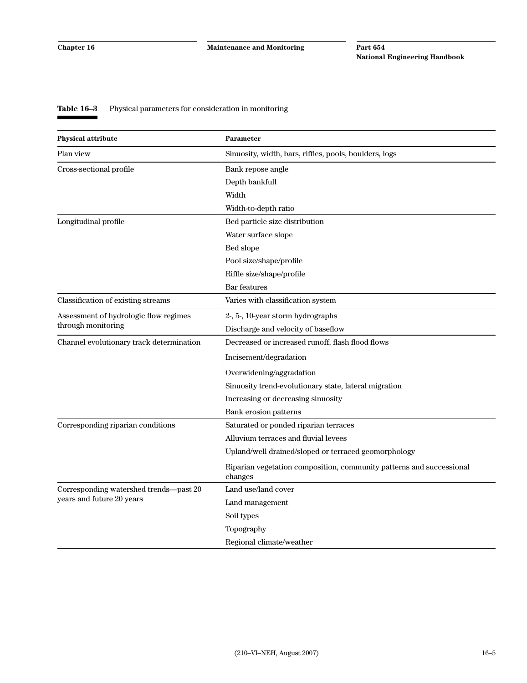### **Table 16–3** Physical parameters for consideration in monitoring

| <b>Physical attribute</b>                | Parameter                                                                       |
|------------------------------------------|---------------------------------------------------------------------------------|
| Plan view                                | Sinuosity, width, bars, riffles, pools, boulders, logs                          |
| Cross-sectional profile                  | Bank repose angle                                                               |
|                                          | Depth bankfull                                                                  |
|                                          | Width                                                                           |
|                                          | Width-to-depth ratio                                                            |
| Longitudinal profile                     | Bed particle size distribution                                                  |
|                                          | Water surface slope                                                             |
|                                          | Bed slope                                                                       |
|                                          | Pool size/shape/profile                                                         |
|                                          | Riffle size/shape/profile                                                       |
|                                          | Bar features                                                                    |
| Classification of existing streams       | Varies with classification system                                               |
| Assessment of hydrologic flow regimes    | 2-, 5-, 10-year storm hydrographs                                               |
| through monitoring                       | Discharge and velocity of baseflow                                              |
| Channel evolutionary track determination | Decreased or increased runoff, flash flood flows                                |
|                                          | Incisement/degradation                                                          |
|                                          | Overwidening/aggradation                                                        |
|                                          | Sinuosity trend-evolutionary state, lateral migration                           |
|                                          | Increasing or decreasing sinuosity                                              |
|                                          | Bank erosion patterns                                                           |
| Corresponding riparian conditions        | Saturated or ponded riparian terraces                                           |
|                                          | Alluvium terraces and fluvial levees                                            |
|                                          | Upland/well drained/sloped or terraced geomorphology                            |
|                                          | Riparian vegetation composition, community patterns and successional<br>changes |
| Corresponding watershed trends-past 20   | Land use/land cover                                                             |
| years and future 20 years                | Land management                                                                 |
|                                          | Soil types                                                                      |
|                                          | Topography                                                                      |
|                                          | Regional climate/weather                                                        |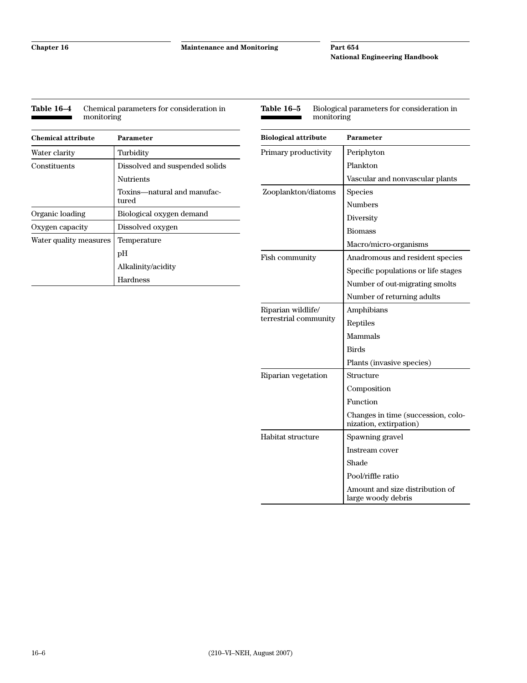**Chapter 16 Maintenance and Monitoring**

#### **Part 654 National Engineering Handbook**

| <b>Chemical attribute</b> | <b>Parameter</b>                     |
|---------------------------|--------------------------------------|
| Water clarity             | Turbidity                            |
| Constituents              | Dissolved and suspended solids       |
|                           | Nutrients                            |
|                           | Toxins—natural and manufac-<br>tured |
| Organic loading           | Biological oxygen demand             |
| Oxygen capacity           | Dissolved oxygen                     |
| Water quality measures    | Temperature                          |
|                           | рH                                   |
|                           | Alkalinity/acidity                   |
|                           | Hardness                             |

| Table 16–5<br>Biological parameters for consideration in<br>monitoring |                                                              |  |
|------------------------------------------------------------------------|--------------------------------------------------------------|--|
| <b>Biological attribute</b>                                            | Parameter                                                    |  |
| Primary productivity                                                   | Periphyton                                                   |  |
|                                                                        | Plankton                                                     |  |
|                                                                        | Vascular and nonvascular plants                              |  |
| Zooplankton/diatoms                                                    | Species                                                      |  |
|                                                                        | <b>Numbers</b>                                               |  |
|                                                                        | Diversity                                                    |  |
|                                                                        | <b>Biomass</b>                                               |  |
|                                                                        | Macro/micro-organisms                                        |  |
| Fish community                                                         | Anadromous and resident species                              |  |
|                                                                        | Specific populations or life stages                          |  |
|                                                                        | Number of out-migrating smolts                               |  |
|                                                                        | Number of returning adults                                   |  |
| Riparian wildlife/                                                     | Amphibians                                                   |  |
| terrestrial community                                                  | Reptiles                                                     |  |
|                                                                        | Mammals                                                      |  |
|                                                                        | Birds                                                        |  |
|                                                                        | Plants (invasive species)                                    |  |
| Riparian vegetation                                                    | Structure                                                    |  |
|                                                                        | Composition                                                  |  |
|                                                                        | Function                                                     |  |
|                                                                        | Changes in time (succession, colo-<br>nization, extirpation) |  |
| Habitat structure                                                      | Spawning gravel                                              |  |
|                                                                        | Instream cover                                               |  |
|                                                                        | Shade                                                        |  |
|                                                                        | Pool/riffle ratio                                            |  |
|                                                                        | Amount and size distribution of<br>large woody debris        |  |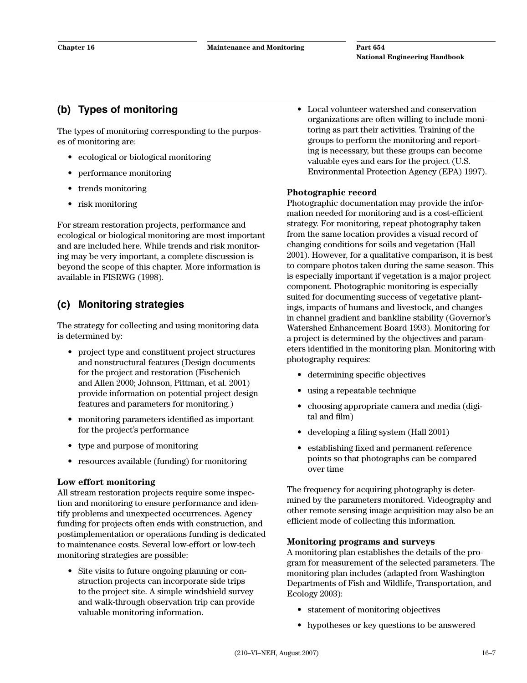# **(b) Types of monitoring**

The types of monitoring corresponding to the purposes of monitoring are:

- ecological or biological monitoring
- performance monitoring
- trends monitoring
- risk monitoring

For stream restoration projects, performance and ecological or biological monitoring are most important and are included here. While trends and risk monitoring may be very important, a complete discussion is beyond the scope of this chapter. More information is available in FISRWG (1998).

# **(c) Monitoring strategies**

The strategy for collecting and using monitoring data is determined by:

- project type and constituent project structures and nonstructural features (Design documents for the project and restoration (Fischenich and Allen 2000; Johnson, Pittman, et al. 2001) provide information on potential project design features and parameters for monitoring.)
- monitoring parameters identified as important for the project's performance
- type and purpose of monitoring
- resources available (funding) for monitoring

#### **Low effort monitoring**

All stream restoration projects require some inspection and monitoring to ensure performance and identify problems and unexpected occurrences. Agency funding for projects often ends with construction, and postimplementation or operations funding is dedicated to maintenance costs. Several low-effort or low-tech monitoring strategies are possible:

• Site visits to future ongoing planning or construction projects can incorporate side trips to the project site. A simple windshield survey and walk-through observation trip can provide valuable monitoring information.

• Local volunteer watershed and conservation organizations are often willing to include monitoring as part their activities. Training of the groups to perform the monitoring and reporting is necessary, but these groups can become valuable eyes and ears for the project (U.S. Environmental Protection Agency (EPA) 1997).

#### **Photographic record**

Photographic documentation may provide the information needed for monitoring and is a cost-efficient strategy. For monitoring, repeat photography taken from the same location provides a visual record of changing conditions for soils and vegetation (Hall 2001). However, for a qualitative comparison, it is best to compare photos taken during the same season. This is especially important if vegetation is a major project component. Photographic monitoring is especially suited for documenting success of vegetative plantings, impacts of humans and livestock, and changes in channel gradient and bankline stability (Governor's Watershed Enhancement Board 1993). Monitoring for a project is determined by the objectives and parameters identified in the monitoring plan. Monitoring with photography requires:

- determining specific objectives
- using a repeatable technique
- choosing appropriate camera and media (digital and film)
- developing a filing system (Hall 2001)
- establishing fixed and permanent reference points so that photographs can be compared over time

The frequency for acquiring photography is determined by the parameters monitored. Videography and other remote sensing image acquisition may also be an efficient mode of collecting this information.

#### **Monitoring programs and surveys**

A monitoring plan establishes the details of the program for measurement of the selected parameters. The monitoring plan includes (adapted from Washington Departments of Fish and Wildlife, Transportation, and Ecology 2003):

- statement of monitoring objectives
- hypotheses or key questions to be answered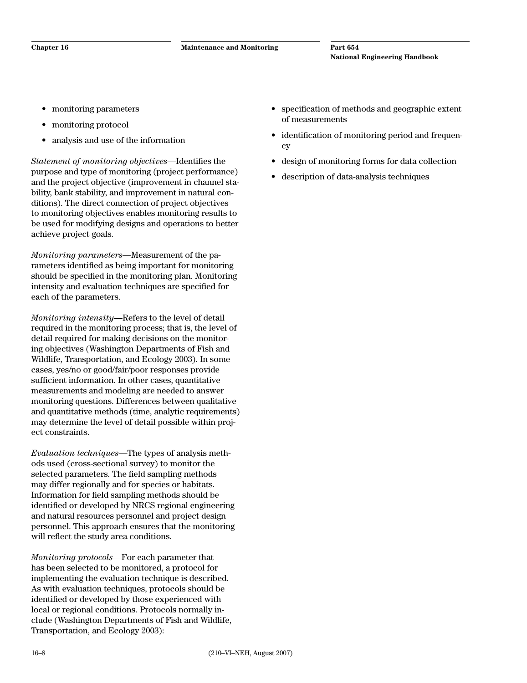- monitoring parameters
- monitoring protocol
- analysis and use of the information

*Statement of monitoring objectives*—Identifies the purpose and type of monitoring (project performance) and the project objective (improvement in channel stability, bank stability, and improvement in natural conditions). The direct connection of project objectives to monitoring objectives enables monitoring results to be used for modifying designs and operations to better achieve project goals.

*Monitoring parameters*—Measurement of the parameters identified as being important for monitoring should be specified in the monitoring plan. Monitoring intensity and evaluation techniques are specified for each of the parameters.

*Monitoring intensity*—Refers to the level of detail required in the monitoring process; that is, the level of detail required for making decisions on the monitoring objectives (Washington Departments of Fish and Wildlife, Transportation, and Ecology 2003). In some cases, yes/no or good/fair/poor responses provide sufficient information. In other cases, quantitative measurements and modeling are needed to answer monitoring questions. Differences between qualitative and quantitative methods (time, analytic requirements) may determine the level of detail possible within project constraints.

*Evaluation techniques*—The types of analysis methods used (cross-sectional survey) to monitor the selected parameters. The field sampling methods may differ regionally and for species or habitats. Information for field sampling methods should be identified or developed by NRCS regional engineering and natural resources personnel and project design personnel. This approach ensures that the monitoring will reflect the study area conditions.

*Monitoring protocols*—For each parameter that has been selected to be monitored, a protocol for implementing the evaluation technique is described. As with evaluation techniques, protocols should be identified or developed by those experienced with local or regional conditions. Protocols normally include (Washington Departments of Fish and Wildlife, Transportation, and Ecology 2003):

- specification of methods and geographic extent of measurements
- identification of monitoring period and frequency
- design of monitoring forms for data collection
- description of data-analysis techniques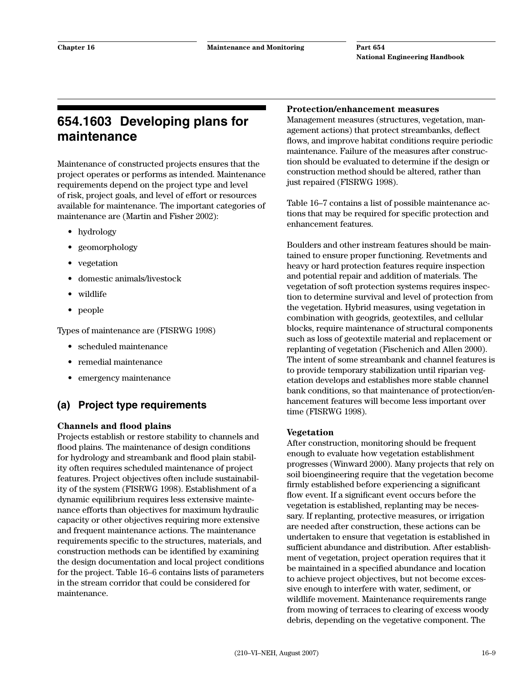# **654.1603 Developing plans for maintenance**

Maintenance of constructed projects ensures that the project operates or performs as intended. Maintenance requirements depend on the project type and level of risk, project goals, and level of effort or resources available for maintenance. The important categories of maintenance are (Martin and Fisher 2002):

- hydrology
- geomorphology
- vegetation
- domestic animals/livestock
- wildlife
- people

Types of maintenance are (FISRWG 1998)

- scheduled maintenance
- remedial maintenance
- emergency maintenance

# **(a) Project type requirements**

#### **Channels and flood plains**

Projects establish or restore stability to channels and flood plains. The maintenance of design conditions for hydrology and streambank and flood plain stability often requires scheduled maintenance of project features. Project objectives often include sustainability of the system (FISRWG 1998). Establishment of a dynamic equilibrium requires less extensive maintenance efforts than objectives for maximum hydraulic capacity or other objectives requiring more extensive and frequent maintenance actions. The maintenance requirements specific to the structures, materials, and construction methods can be identified by examining the design documentation and local project conditions for the project. Table 16–6 contains lists of parameters in the stream corridor that could be considered for maintenance.

#### **Protection/enhancement measures**

Management measures (structures, vegetation, management actions) that protect streambanks, deflect flows, and improve habitat conditions require periodic maintenance. Failure of the measures after construction should be evaluated to determine if the design or construction method should be altered, rather than just repaired (FISRWG 1998).

Table 16–7 contains a list of possible maintenance actions that may be required for specific protection and enhancement features.

Boulders and other instream features should be maintained to ensure proper functioning. Revetments and heavy or hard protection features require inspection and potential repair and addition of materials. The vegetation of soft protection systems requires inspection to determine survival and level of protection from the vegetation. Hybrid measures, using vegetation in combination with geogrids, geotextiles, and cellular blocks, require maintenance of structural components such as loss of geotextile material and replacement or replanting of vegetation (Fischenich and Allen 2000). The intent of some streambank and channel features is to provide temporary stabilization until riparian vegetation develops and establishes more stable channel bank conditions, so that maintenance of protection/enhancement features will become less important over time (FISRWG 1998).

#### **Vegetation**

After construction, monitoring should be frequent enough to evaluate how vegetation establishment progresses (Winward 2000). Many projects that rely on soil bioengineering require that the vegetation become firmly established before experiencing a significant flow event. If a significant event occurs before the vegetation is established, replanting may be necessary. If replanting, protective measures, or irrigation are needed after construction, these actions can be undertaken to ensure that vegetation is established in sufficient abundance and distribution. After establishment of vegetation, project operation requires that it be maintained in a specified abundance and location to achieve project objectives, but not become excessive enough to interfere with water, sediment, or wildlife movement. Maintenance requirements range from mowing of terraces to clearing of excess woody debris, depending on the vegetative component. The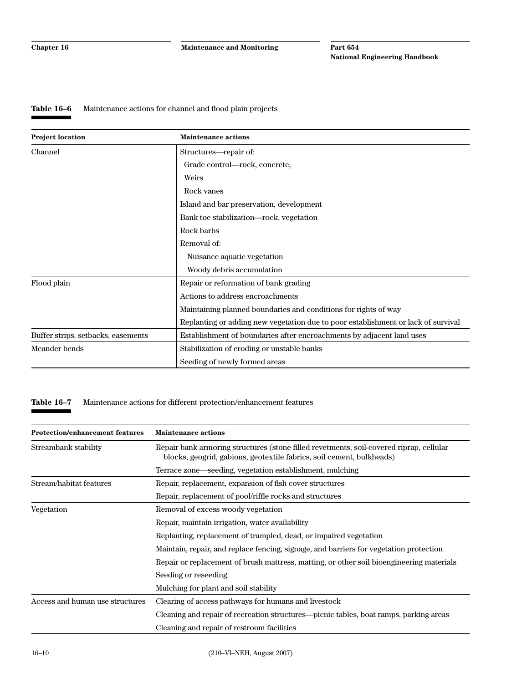#### **Table 16–6** Maintenance actions for channel and flood plain projects

| <b>Project location</b>            | <b>Maintenance actions</b>                                                        |  |
|------------------------------------|-----------------------------------------------------------------------------------|--|
| Channel                            | Structures—repair of:                                                             |  |
|                                    | Grade control—rock, concrete,                                                     |  |
|                                    | Weirs                                                                             |  |
|                                    | Rock vanes                                                                        |  |
|                                    | Island and bar preservation, development                                          |  |
|                                    | Bank toe stabilization—rock, vegetation                                           |  |
|                                    | Rock barbs                                                                        |  |
|                                    | Removal of:                                                                       |  |
|                                    | Nuisance aquatic vegetation                                                       |  |
|                                    | Woody debris accumulation                                                         |  |
| Flood plain                        | Repair or reformation of bank grading                                             |  |
|                                    | Actions to address encroachments                                                  |  |
|                                    | Maintaining planned boundaries and conditions for rights of way                   |  |
|                                    | Replanting or adding new vegetation due to poor establishment or lack of survival |  |
| Buffer strips, setbacks, easements | Establishment of boundaries after encroachments by adjacent land uses             |  |
| Meander bends                      | Stabilization of eroding or unstable banks                                        |  |
|                                    | Seeding of newly formed areas                                                     |  |

**Table 16–7** Maintenance actions for different protection/enhancement features

| <b>Protection/enhancement features</b> | <b>Maintenance actions</b>                                                                                                                                       |  |
|----------------------------------------|------------------------------------------------------------------------------------------------------------------------------------------------------------------|--|
| Streambank stability                   | Repair bank armoring structures (stone filled revetments, soil-covered riprap, cellular<br>blocks, geogrid, gabions, geotextile fabrics, soil cement, bulkheads) |  |
|                                        | Terrace zone—seeding, vegetation establishment, mulching                                                                                                         |  |
| Stream/habitat features                | Repair, replacement, expansion of fish cover structures                                                                                                          |  |
|                                        | Repair, replacement of pool/riffle rocks and structures                                                                                                          |  |
| Vegetation                             | Removal of excess woody vegetation                                                                                                                               |  |
|                                        | Repair, maintain irrigation, water availability                                                                                                                  |  |
|                                        | Replanting, replacement of trampled, dead, or impaired vegetation                                                                                                |  |
|                                        | Maintain, repair, and replace fencing, signage, and barriers for vegetation protection                                                                           |  |
|                                        | Repair or replacement of brush mattress, matting, or other soil bioengineering materials                                                                         |  |
|                                        | Seeding or reseeding                                                                                                                                             |  |
|                                        | Mulching for plant and soil stability                                                                                                                            |  |
| Access and human use structures        | Clearing of access pathways for humans and livestock                                                                                                             |  |
|                                        | Cleaning and repair of recreation structures—picnic tables, boat ramps, parking areas                                                                            |  |
|                                        | Cleaning and repair of restroom facilities                                                                                                                       |  |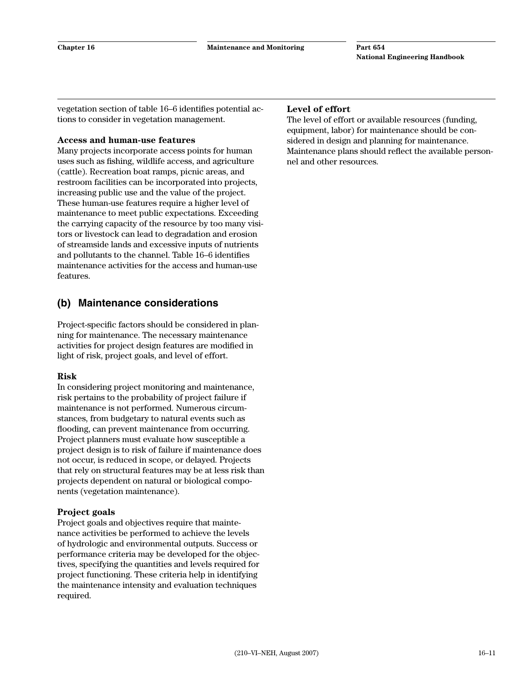vegetation section of table 16–6 identifies potential actions to consider in vegetation management.

#### **Access and human-use features**

Many projects incorporate access points for human uses such as fishing, wildlife access, and agriculture (cattle). Recreation boat ramps, picnic areas, and restroom facilities can be incorporated into projects, increasing public use and the value of the project. These human-use features require a higher level of maintenance to meet public expectations. Exceeding the carrying capacity of the resource by too many visitors or livestock can lead to degradation and erosion of streamside lands and excessive inputs of nutrients and pollutants to the channel. Table 16–6 identifies maintenance activities for the access and human-use features.

### **(b) Maintenance considerations**

Project-specific factors should be considered in planning for maintenance. The necessary maintenance activities for project design features are modified in light of risk, project goals, and level of effort.

#### **Risk**

In considering project monitoring and maintenance, risk pertains to the probability of project failure if maintenance is not performed. Numerous circumstances, from budgetary to natural events such as flooding, can prevent maintenance from occurring. Project planners must evaluate how susceptible a project design is to risk of failure if maintenance does not occur, is reduced in scope, or delayed. Projects that rely on structural features may be at less risk than projects dependent on natural or biological components (vegetation maintenance).

#### **Project goals**

Project goals and objectives require that maintenance activities be performed to achieve the levels of hydrologic and environmental outputs. Success or performance criteria may be developed for the objectives, specifying the quantities and levels required for project functioning. These criteria help in identifying the maintenance intensity and evaluation techniques required.

#### **Level of effort**

The level of effort or available resources (funding, equipment, labor) for maintenance should be considered in design and planning for maintenance. Maintenance plans should reflect the available personnel and other resources.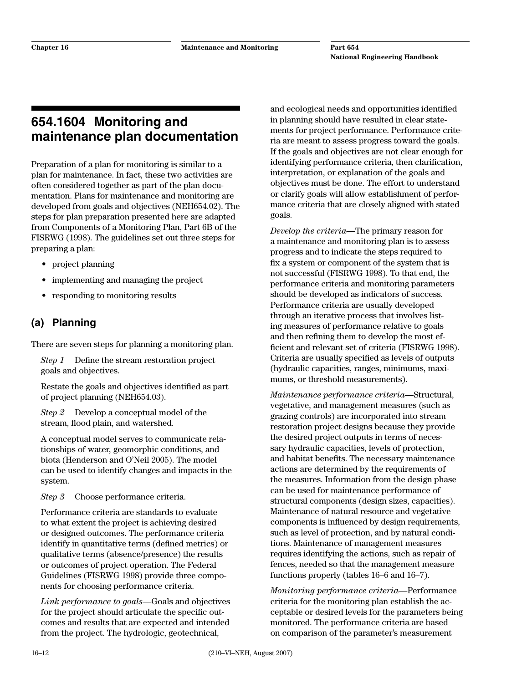# **654.1604 Monitoring and maintenance plan documentation**

Preparation of a plan for monitoring is similar to a plan for maintenance. In fact, these two activities are often considered together as part of the plan documentation. Plans for maintenance and monitoring are developed from goals and objectives (NEH654.02). The steps for plan preparation presented here are adapted from Components of a Monitoring Plan, Part 6B of the FISRWG (1998). The guidelines set out three steps for preparing a plan:

- project planning
- implementing and managing the project
- responding to monitoring results

# **(a) Planning**

There are seven steps for planning a monitoring plan.

*Step 1* Define the stream restoration project goals and objectives.

Restate the goals and objectives identified as part of project planning (NEH654.03).

*Step 2* Develop a conceptual model of the stream, flood plain, and watershed.

A conceptual model serves to communicate relationships of water, geomorphic conditions, and biota (Henderson and O'Neil 2005). The model can be used to identify changes and impacts in the system.

*Step 3* Choose performance criteria.

Performance criteria are standards to evaluate to what extent the project is achieving desired or designed outcomes. The performance criteria identify in quantitative terms (defined metrics) or qualitative terms (absence/presence) the results or outcomes of project operation. The Federal Guidelines (FISRWG 1998) provide three components for choosing performance criteria.

*Link performance to goals—*Goals and objectives for the project should articulate the specific outcomes and results that are expected and intended from the project. The hydrologic, geotechnical,

and ecological needs and opportunities identified in planning should have resulted in clear statements for project performance. Performance criteria are meant to assess progress toward the goals. If the goals and objectives are not clear enough for identifying performance criteria, then clarification, interpretation, or explanation of the goals and objectives must be done. The effort to understand or clarify goals will allow establishment of performance criteria that are closely aligned with stated goals.

*Develop the criteria—*The primary reason for a maintenance and monitoring plan is to assess progress and to indicate the steps required to fix a system or component of the system that is not successful (FISRWG 1998). To that end, the performance criteria and monitoring parameters should be developed as indicators of success. Performance criteria are usually developed through an iterative process that involves listing measures of performance relative to goals and then refining them to develop the most efficient and relevant set of criteria (FISRWG 1998). Criteria are usually specified as levels of outputs (hydraulic capacities, ranges, minimums, maximums, or threshold measurements).

*Maintenance performance criteria—*Structural, vegetative, and management measures (such as grazing controls) are incorporated into stream restoration project designs because they provide the desired project outputs in terms of necessary hydraulic capacities, levels of protection, and habitat benefits. The necessary maintenance actions are determined by the requirements of the measures. Information from the design phase can be used for maintenance performance of structural components (design sizes, capacities). Maintenance of natural resource and vegetative components is influenced by design requirements, such as level of protection, and by natural conditions. Maintenance of management measures requires identifying the actions, such as repair of fences, needed so that the management measure functions properly (tables 16–6 and 16–7).

*Monitoring performance criteria—*Performance criteria for the monitoring plan establish the acceptable or desired levels for the parameters being monitored. The performance criteria are based on comparison of the parameter's measurement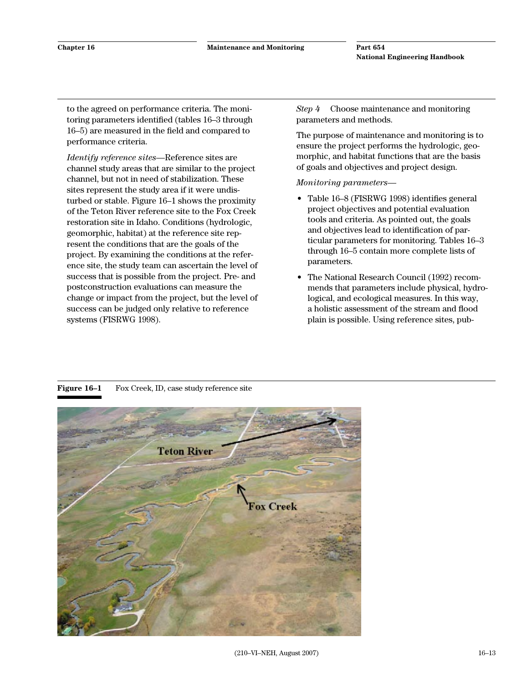to the agreed on performance criteria. The monitoring parameters identified (tables 16–3 through 16–5) are measured in the field and compared to performance criteria.

*Identify reference sites*—Reference sites are channel study areas that are similar to the project channel, but not in need of stabilization. These sites represent the study area if it were undisturbed or stable. Figure 16–1 shows the proximity of the Teton River reference site to the Fox Creek restoration site in Idaho. Conditions (hydrologic, geomorphic, habitat) at the reference site represent the conditions that are the goals of the project. By examining the conditions at the reference site, the study team can ascertain the level of success that is possible from the project. Pre- and postconstruction evaluations can measure the change or impact from the project, but the level of success can be judged only relative to reference systems (FISRWG 1998).

*Step 4* Choose maintenance and monitoring parameters and methods.

The purpose of maintenance and monitoring is to ensure the project performs the hydrologic, geomorphic, and habitat functions that are the basis of goals and objectives and project design.

*Monitoring parameters—*

- Table 16–8 (FISRWG 1998) identifies general project objectives and potential evaluation tools and criteria. As pointed out, the goals and objectives lead to identification of particular parameters for monitoring. Tables 16–3 through 16–5 contain more complete lists of parameters.
- The National Research Council (1992) recommends that parameters include physical, hydrological, and ecological measures. In this way, a holistic assessment of the stream and flood plain is possible. Using reference sites, pub-



**Figure 16–1** Fox Creek, ID, case study reference site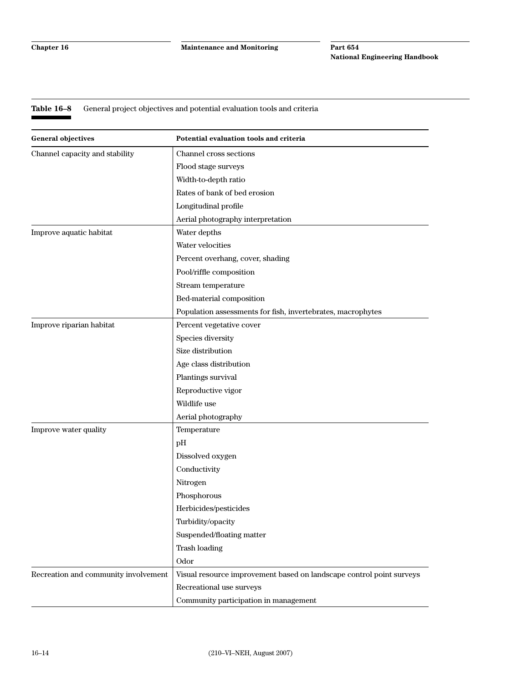#### **Table 16–8** General project objectives and potential evaluation tools and criteria

| <b>General objectives</b>            | Potential evaluation tools and criteria                              |
|--------------------------------------|----------------------------------------------------------------------|
| Channel capacity and stability       | Channel cross sections                                               |
|                                      | Flood stage surveys                                                  |
|                                      | Width-to-depth ratio                                                 |
|                                      | Rates of bank of bed erosion                                         |
|                                      | Longitudinal profile                                                 |
|                                      | Aerial photography interpretation                                    |
| Improve aquatic habitat              | Water depths                                                         |
|                                      | Water velocities                                                     |
|                                      | Percent overhang, cover, shading                                     |
|                                      | Pool/riffle composition                                              |
|                                      | Stream temperature                                                   |
|                                      | Bed-material composition                                             |
|                                      | Population assessments for fish, invertebrates, macrophytes          |
| Improve riparian habitat             | Percent vegetative cover                                             |
|                                      | Species diversity                                                    |
|                                      | Size distribution                                                    |
|                                      | Age class distribution                                               |
|                                      | Plantings survival                                                   |
|                                      | Reproductive vigor                                                   |
|                                      | Wildlife use                                                         |
|                                      | Aerial photography                                                   |
| Improve water quality                | Temperature                                                          |
|                                      | pH                                                                   |
|                                      | Dissolved oxygen                                                     |
|                                      | Conductivity                                                         |
|                                      | Nitrogen                                                             |
|                                      | Phosphorous                                                          |
|                                      | Herbicides/pesticides                                                |
|                                      | Turbidity/opacity                                                    |
|                                      | Suspended/floating matter                                            |
|                                      | <b>Trash loading</b>                                                 |
|                                      | Odor                                                                 |
| Recreation and community involvement | Visual resource improvement based on landscape control point surveys |
|                                      | Recreational use surveys                                             |
|                                      | Community participation in management                                |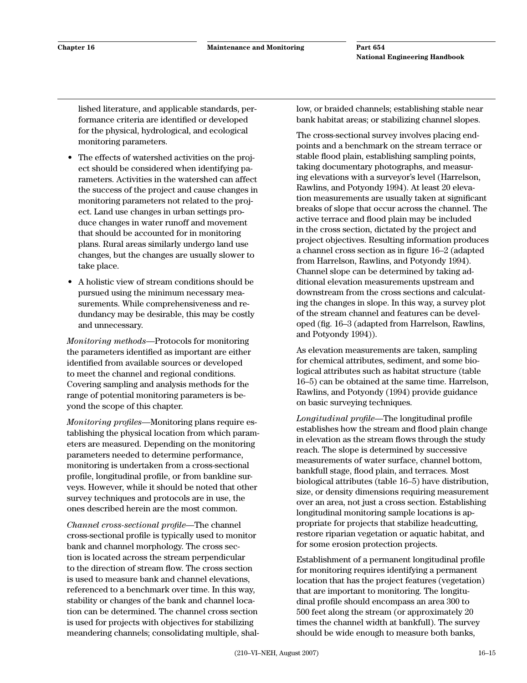lished literature, and applicable standards, performance criteria are identified or developed for the physical, hydrological, and ecological monitoring parameters.

- The effects of watershed activities on the project should be considered when identifying parameters. Activities in the watershed can affect the success of the project and cause changes in monitoring parameters not related to the project. Land use changes in urban settings produce changes in water runoff and movement that should be accounted for in monitoring plans. Rural areas similarly undergo land use changes, but the changes are usually slower to take place.
- A holistic view of stream conditions should be pursued using the minimum necessary measurements. While comprehensiveness and redundancy may be desirable, this may be costly and unnecessary.

*Monitoring methods*—Protocols for monitoring the parameters identified as important are either identified from available sources or developed to meet the channel and regional conditions. Covering sampling and analysis methods for the range of potential monitoring parameters is beyond the scope of this chapter.

*Monitoring profiles—*Monitoring plans require establishing the physical location from which parameters are measured. Depending on the monitoring parameters needed to determine performance, monitoring is undertaken from a cross-sectional profile, longitudinal profile, or from bankline surveys. However, while it should be noted that other survey techniques and protocols are in use, the ones described herein are the most common.

*Channel cross-sectional profile—*The channel cross-sectional profile is typically used to monitor bank and channel morphology. The cross section is located across the stream perpendicular to the direction of stream flow. The cross section is used to measure bank and channel elevations, referenced to a benchmark over time. In this way, stability or changes of the bank and channel location can be determined. The channel cross section is used for projects with objectives for stabilizing meandering channels; consolidating multiple, shal-

low, or braided channels; establishing stable near bank habitat areas; or stabilizing channel slopes.

The cross-sectional survey involves placing endpoints and a benchmark on the stream terrace or stable flood plain, establishing sampling points, taking documentary photographs, and measuring elevations with a surveyor's level (Harrelson, Rawlins, and Potyondy 1994). At least 20 elevation measurements are usually taken at significant breaks of slope that occur across the channel. The active terrace and flood plain may be included in the cross section, dictated by the project and project objectives. Resulting information produces a channel cross section as in figure 16–2 (adapted from Harrelson, Rawlins, and Potyondy 1994). Channel slope can be determined by taking additional elevation measurements upstream and downstream from the cross sections and calculating the changes in slope. In this way, a survey plot of the stream channel and features can be developed (fig. 16–3 (adapted from Harrelson, Rawlins, and Potyondy 1994)).

As elevation measurements are taken, sampling for chemical attributes, sediment, and some biological attributes such as habitat structure (table 16–5) can be obtained at the same time. Harrelson, Rawlins, and Potyondy (1994) provide guidance on basic surveying techniques.

*Longitudinal profile*—The longitudinal profile establishes how the stream and flood plain change in elevation as the stream flows through the study reach. The slope is determined by successive measurements of water surface, channel bottom, bankfull stage, flood plain, and terraces. Most biological attributes (table 16–5) have distribution, size, or density dimensions requiring measurement over an area, not just a cross section. Establishing longitudinal monitoring sample locations is appropriate for projects that stabilize headcutting, restore riparian vegetation or aquatic habitat, and for some erosion protection projects.

Establishment of a permanent longitudinal profile for monitoring requires identifying a permanent location that has the project features (vegetation) that are important to monitoring. The longitudinal profile should encompass an area 300 to 500 feet along the stream (or approximately 20 times the channel width at bankfull). The survey should be wide enough to measure both banks,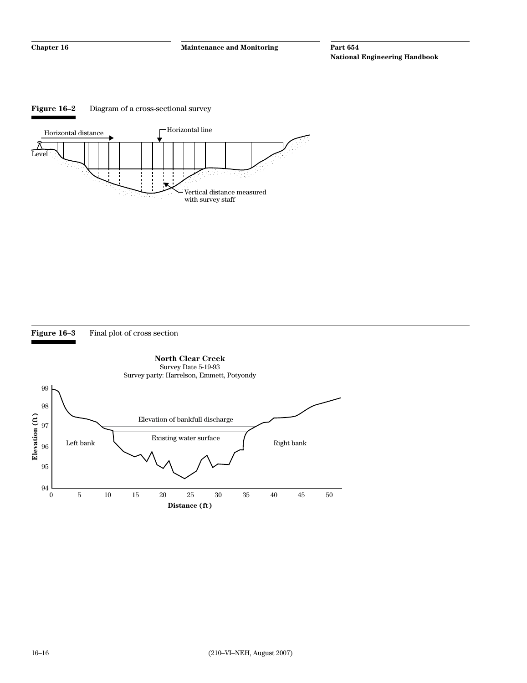



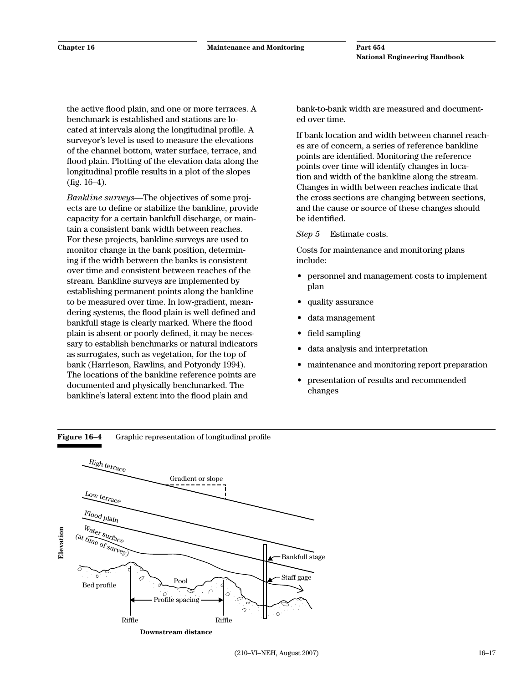the active flood plain, and one or more terraces. A benchmark is established and stations are located at intervals along the longitudinal profile. A surveyor's level is used to measure the elevations of the channel bottom, water surface, terrace, and flood plain. Plotting of the elevation data along the longitudinal profile results in a plot of the slopes  $(fig. 16-4)$ .

*Bankline surveys—*The objectives of some projects are to define or stabilize the bankline, provide capacity for a certain bankfull discharge, or maintain a consistent bank width between reaches. For these projects, bankline surveys are used to monitor change in the bank position, determining if the width between the banks is consistent over time and consistent between reaches of the stream. Bankline surveys are implemented by establishing permanent points along the bankline to be measured over time. In low-gradient, meandering systems, the flood plain is well defined and bankfull stage is clearly marked. Where the flood plain is absent or poorly defined, it may be necessary to establish benchmarks or natural indicators as surrogates, such as vegetation, for the top of bank (Harrleson, Rawlins, and Potyondy 1994). The locations of the bankline reference points are documented and physically benchmarked. The bankline's lateral extent into the flood plain and

bank-to-bank width are measured and documented over time.

If bank location and width between channel reaches are of concern, a series of reference bankline points are identified. Monitoring the reference points over time will identify changes in location and width of the bankline along the stream. Changes in width between reaches indicate that the cross sections are changing between sections, and the cause or source of these changes should be identified.

*Step 5* Estimate costs.

Costs for maintenance and monitoring plans include:

- personnel and management costs to implement plan
- quality assurance
- data management
- field sampling
- data analysis and interpretation
- maintenance and monitoring report preparation
- presentation of results and recommended changes



**Figure 16–4** Graphic representation of longitudinal profile

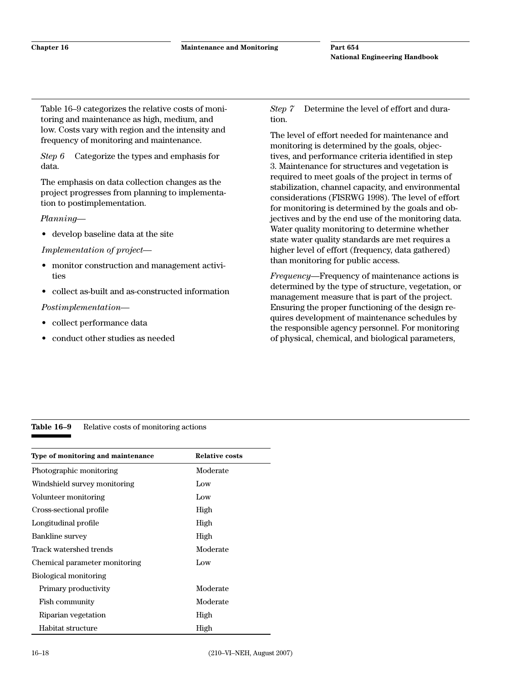Table 16–9 categorizes the relative costs of monitoring and maintenance as high, medium, and low. Costs vary with region and the intensity and frequency of monitoring and maintenance.

*Step 6* Categorize the types and emphasis for data.

The emphasis on data collection changes as the project progresses from planning to implementation to postimplementation.

*Planning—*

• develop baseline data at the site

*Implementation of project—*

- monitor construction and management activities
- collect as-built and as-constructed information

*Postimplementation—*

- collect performance data
- conduct other studies as needed

*Step 7* Determine the level of effort and duration.

The level of effort needed for maintenance and monitoring is determined by the goals, objectives, and performance criteria identified in step 3. Maintenance for structures and vegetation is required to meet goals of the project in terms of stabilization, channel capacity, and environmental considerations (FISRWG 1998). The level of effort for monitoring is determined by the goals and objectives and by the end use of the monitoring data. Water quality monitoring to determine whether state water quality standards are met requires a higher level of effort (frequency, data gathered) than monitoring for public access.

*Frequency*—Frequency of maintenance actions is determined by the type of structure, vegetation, or management measure that is part of the project. Ensuring the proper functioning of the design requires development of maintenance schedules by the responsible agency personnel. For monitoring of physical, chemical, and biological parameters,

#### Table 16–9 Relative costs of monitoring actions

| Type of monitoring and maintenance | <b>Relative costs</b> |
|------------------------------------|-----------------------|
| Photographic monitoring            | Moderate              |
| Windshield survey monitoring       | Low                   |
| Volunteer monitoring               | Low                   |
| Cross-sectional profile            | High                  |
| Longitudinal profile               | High                  |
| Bankline survey                    | High                  |
| Track watershed trends             | Moderate              |
| Chemical parameter monitoring      | Low                   |
| Biological monitoring              |                       |
| Primary productivity               | Moderate              |
| Fish community                     | Moderate              |
| Riparian vegetation                | High                  |
| Habitat structure                  | High                  |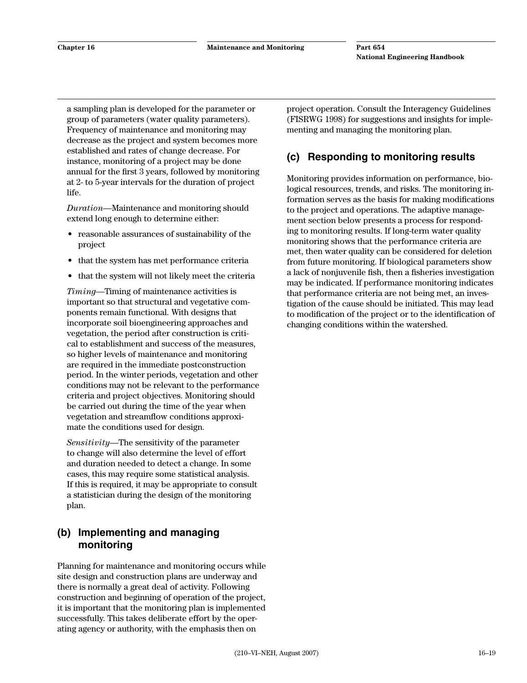a sampling plan is developed for the parameter or group of parameters (water quality parameters). Frequency of maintenance and monitoring may decrease as the project and system becomes more established and rates of change decrease. For instance, monitoring of a project may be done annual for the first 3 years, followed by monitoring at 2- to 5-year intervals for the duration of project life.

*Duration*—Maintenance and monitoring should extend long enough to determine either:

- reasonable assurances of sustainability of the project
- that the system has met performance criteria
- that the system will not likely meet the criteria

*Timing*—Timing of maintenance activities is important so that structural and vegetative components remain functional. With designs that incorporate soil bioengineering approaches and vegetation, the period after construction is critical to establishment and success of the measures, so higher levels of maintenance and monitoring are required in the immediate postconstruction period. In the winter periods, vegetation and other conditions may not be relevant to the performance criteria and project objectives. Monitoring should be carried out during the time of the year when vegetation and streamflow conditions approximate the conditions used for design.

*Sensitivity*—The sensitivity of the parameter to change will also determine the level of effort and duration needed to detect a change. In some cases, this may require some statistical analysis. If this is required, it may be appropriate to consult a statistician during the design of the monitoring plan.

# **(b) Implementing and managing monitoring**

Planning for maintenance and monitoring occurs while site design and construction plans are underway and there is normally a great deal of activity. Following construction and beginning of operation of the project, it is important that the monitoring plan is implemented successfully. This takes deliberate effort by the operating agency or authority, with the emphasis then on

project operation. Consult the Interagency Guidelines (FISRWG 1998) for suggestions and insights for implementing and managing the monitoring plan.

# **(c) Responding to monitoring results**

Monitoring provides information on performance, biological resources, trends, and risks. The monitoring information serves as the basis for making modifications to the project and operations. The adaptive management section below presents a process for responding to monitoring results. If long-term water quality monitoring shows that the performance criteria are met, then water quality can be considered for deletion from future monitoring. If biological parameters show a lack of nonjuvenile fish, then a fisheries investigation may be indicated. If performance monitoring indicates that performance criteria are not being met, an investigation of the cause should be initiated. This may lead to modification of the project or to the identification of changing conditions within the watershed.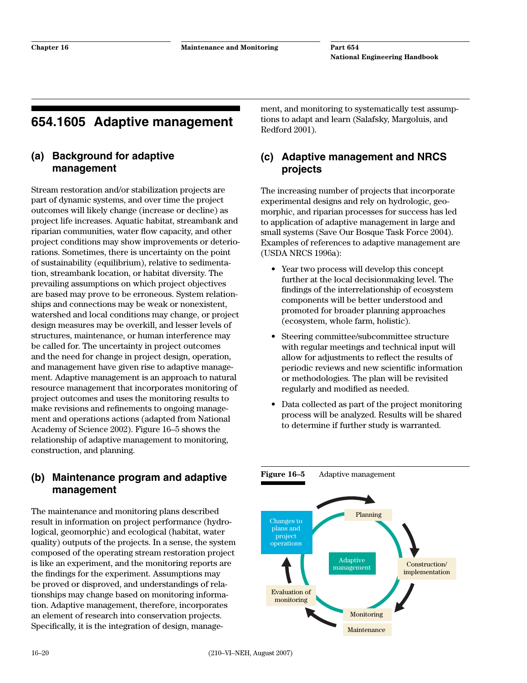# **654.1605 Adaptive management**

### **(a) Background for adaptive management**

Stream restoration and/or stabilization projects are part of dynamic systems, and over time the project outcomes will likely change (increase or decline) as project life increases. Aquatic habitat, streambank and riparian communities, water flow capacity, and other project conditions may show improvements or deteriorations. Sometimes, there is uncertainty on the point of sustainability (equilibrium), relative to sedimentation, streambank location, or habitat diversity. The prevailing assumptions on which project objectives are based may prove to be erroneous. System relationships and connections may be weak or nonexistent, watershed and local conditions may change, or project design measures may be overkill, and lesser levels of structures, maintenance, or human interference may be called for. The uncertainty in project outcomes and the need for change in project design, operation, and management have given rise to adaptive management. Adaptive management is an approach to natural resource management that incorporates monitoring of project outcomes and uses the monitoring results to make revisions and refinements to ongoing management and operations actions (adapted from National Academy of Science 2002). Figure 16–5 shows the relationship of adaptive management to monitoring, construction, and planning.

### **(b) Maintenance program and adaptive management**

The maintenance and monitoring plans described result in information on project performance (hydrological, geomorphic) and ecological (habitat, water quality) outputs of the projects. In a sense, the system composed of the operating stream restoration project is like an experiment, and the monitoring reports are the findings for the experiment. Assumptions may be proved or disproved, and understandings of relationships may change based on monitoring information. Adaptive management, therefore, incorporates an element of research into conservation projects. Specifically, it is the integration of design, management, and monitoring to systematically test assumptions to adapt and learn (Salafsky, Margoluis, and Redford 2001).

# **(c) Adaptive management and NRCS projects**

The increasing number of projects that incorporate experimental designs and rely on hydrologic, geomorphic, and riparian processes for success has led to application of adaptive management in large and small systems (Save Our Bosque Task Force 2004). Examples of references to adaptive management are (USDA NRCS 1996a):

- Year two process will develop this concept further at the local decisionmaking level. The findings of the interrelationship of ecosystem components will be better understood and promoted for broader planning approaches (ecosystem, whole farm, holistic).
- Steering committee/subcommittee structure with regular meetings and technical input will allow for adjustments to reflect the results of periodic reviews and new scientific information or methodologies. The plan will be revisited regularly and modified as needed.
- Data collected as part of the project monitoring process will be analyzed. Results will be shared to determine if further study is warranted.